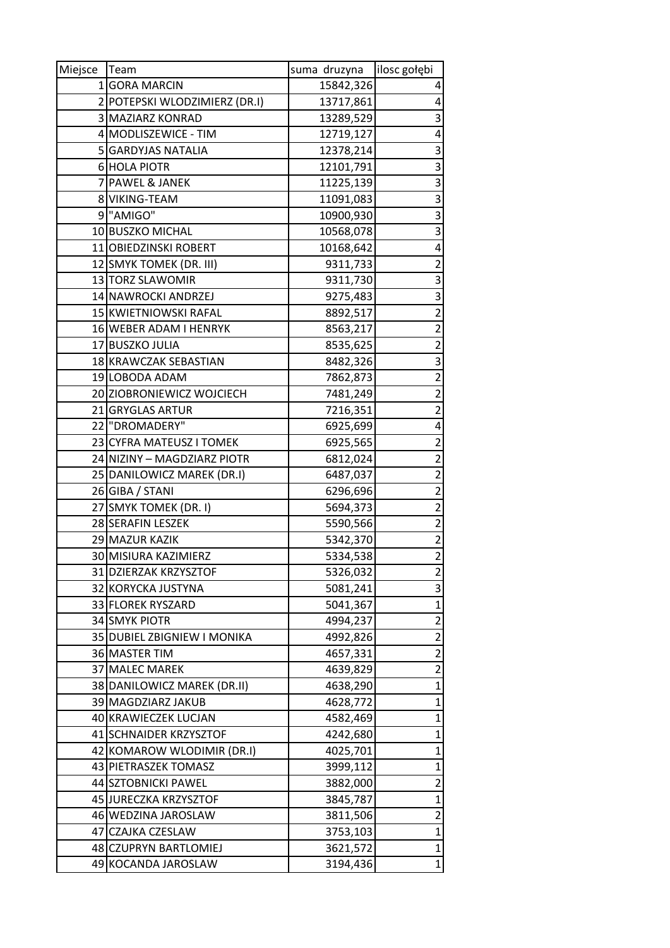| Miejsce        | Team                          | suma druzyna | ilosc gołębi            |
|----------------|-------------------------------|--------------|-------------------------|
|                | 1 GORA MARCIN                 | 15842,326    | 4                       |
|                | 2 POTEPSKI WLODZIMIERZ (DR.I) | 13717,861    | 4                       |
|                | 3 MAZIARZ KONRAD              | 13289,529    | 3                       |
|                | 4 MODLISZEWICE - TIM          | 12719,127    | 4                       |
|                | 5 GARDYJAS NATALIA            | 12378,214    | 3                       |
|                | 6 HOLA PIOTR                  | 12101,791    | 3                       |
| $\overline{7}$ | <b>PAWEL &amp; JANEK</b>      | 11225,139    | $\overline{3}$          |
|                | 8 VIKING-TEAM                 | 11091,083    | 3                       |
|                | 9 <sup>"</sup> AMIGO"         | 10900,930    | 3                       |
|                | 10 BUSZKO MICHAL              | 10568,078    | $\overline{3}$          |
|                | 11 OBIEDZINSKI ROBERT         | 10168,642    | 4                       |
|                | 12 SMYK TOMEK (DR. III)       | 9311,733     | $\overline{c}$          |
|                | 13 TORZ SLAWOMIR              | 9311,730     | 3                       |
|                | 14 NAWROCKI ANDRZEJ           | 9275,483     | 3                       |
|                | 15 KWIETNIOWSKI RAFAL         | 8892,517     | $\overline{2}$          |
|                | 16 WEBER ADAM I HENRYK        | 8563,217     | $\overline{2}$          |
|                | 17 BUSZKO JULIA               | 8535,625     | $\overline{2}$          |
|                | 18 KRAWCZAK SEBASTIAN         | 8482,326     | 3                       |
|                | 19 LOBODA ADAM                | 7862,873     | $\overline{\mathbf{c}}$ |
|                | 20 ZIOBRONIEWICZ WOJCIECH     | 7481,249     | $\overline{2}$          |
|                | 21 GRYGLAS ARTUR              | 7216,351     | $\overline{2}$          |
|                | 22 "DROMADERY"                | 6925,699     | 4                       |
|                | 23 CYFRA MATEUSZ I TOMEK      | 6925,565     | $\overline{\mathbf{c}}$ |
|                | 24 NIZINY – MAGDZIARZ PIOTR   | 6812,024     | $\overline{\mathbf{c}}$ |
|                | 25 DANILOWICZ MAREK (DR.I)    | 6487,037     | $\overline{2}$          |
|                | 26 GIBA / STANI               | 6296,696     | $\overline{2}$          |
|                | 27 SMYK TOMEK (DR. I)         | 5694,373     | $\overline{2}$          |
|                | 28 SERAFIN LESZEK             | 5590,566     | $\overline{2}$          |
|                | 29 MAZUR KAZIK                | 5342,370     | $\overline{\mathbf{c}}$ |
|                | 30 MISIURA KAZIMIERZ          | 5334,538     | $\overline{2}$          |
|                | 31 DZIERZAK KRZYSZTOF         | 5326,032     | 2                       |
|                | 32 KORYCKA JUSTYNA            | 5081,241     | 3                       |
|                | 33 FLOREK RYSZARD             | 5041,367     | $\mathbf{1}$            |
|                | 34 SMYK PIOTR                 | 4994,237     | $\overline{2}$          |
|                | 35 DUBIEL ZBIGNIEW I MONIKA   | 4992,826     | $\overline{2}$          |
|                | 36 MASTER TIM                 | 4657,331     | $\overline{2}$          |
|                | 37 MALEC MAREK                | 4639,829     | $\overline{2}$          |
|                | 38 DANILOWICZ MAREK (DR.II)   | 4638,290     | $\mathbf{1}$            |
|                | 39 MAGDZIARZ JAKUB            | 4628,772     | $\mathbf 1$             |
|                | 40 KRAWIECZEK LUCJAN          | 4582,469     | $\mathbf{1}$            |
|                | 41 SCHNAIDER KRZYSZTOF        | 4242,680     | $\mathbf{1}$            |
|                | 42 KOMAROW WLODIMIR (DR.I)    | 4025,701     | $\mathbf 1$             |
|                | 43 PIETRASZEK TOMASZ          | 3999,112     | $\mathbf{1}$            |
|                | 44 SZTOBNICKI PAWEL           | 3882,000     | $\overline{2}$          |
|                | 45 JURECZKA KRZYSZTOF         | 3845,787     | $\mathbf 1$             |
|                | 46 WEDZINA JAROSLAW           | 3811,506     | $\overline{2}$          |
|                | 47 CZAJKA CZESLAW             | 3753,103     | $\mathbf 1$             |
|                | 48 CZUPRYN BARTLOMIEJ         | 3621,572     | 1                       |
|                | 49 KOCANDA JAROSLAW           | 3194,436     | $\mathbf{1}$            |